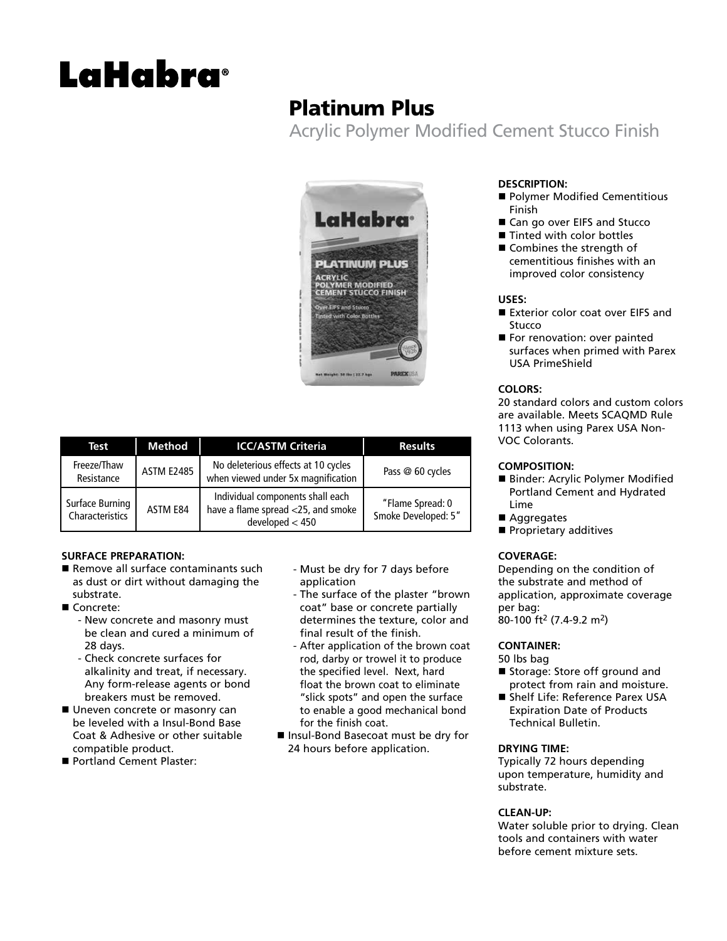# LaHabra®

# Platinum Plus

Acrylic Polymer Modified Cement Stucco Finish



| Test                               | Method            | <b>ICC/ASTM Criteria</b>                                                                  | <b>Results</b>                          |
|------------------------------------|-------------------|-------------------------------------------------------------------------------------------|-----------------------------------------|
| Freeze/Thaw<br>Resistance          | <b>ASTM E2485</b> | No deleterious effects at 10 cycles<br>when viewed under 5x magnification                 | Pass @ 60 cycles                        |
| Surface Burning<br>Characteristics | ASTM E84          | Individual components shall each<br>have a flame spread <25, and smoke<br>developed < 450 | "Flame Spread: 0<br>Smoke Developed: 5" |

# **SURFACE PREPARATION:**

- $\blacksquare$  Remove all surface contaminants such as dust or dirt without damaging the substrate.
- Concrete:
	- New concrete and masonry must be clean and cured a minimum of 28 days.
	- Check concrete surfaces for alkalinity and treat, if necessary. Any form-release agents or bond breakers must be removed.
- Uneven concrete or masonry can be leveled with a Insul-Bond Base Coat & Adhesive or other suitable compatible product.
- Portland Cement Plaster:
- Must be dry for 7 days before application
- The surface of the plaster "brown coat" base or concrete partially determines the texture, color and final result of the finish.
- After application of the brown coat rod, darby or trowel it to produce the specified level. Next, hard float the brown coat to eliminate "slick spots" and open the surface to enable a good mechanical bond for the finish coat.
- Insul-Bond Basecoat must be dry for 24 hours before application.

# **DESCRIPTION:**

- Polymer Modified Cementitious Finish
- Can go over EIFS and Stucco
- $\blacksquare$  Tinted with color bottles
- $\blacksquare$  Combines the strength of cementitious finishes with an improved color consistency

#### **USES:**

- Exterior color coat over EIFS and Stucco
- For renovation: over painted surfaces when primed with Parex USA PrimeShield

#### **COLORS:**

20 standard colors and custom colors are available. Meets SCAQMD Rule 1113 when using Parex USA Non-VOC Colorants.

# **COMPOSITION:**

- Binder: Acrylic Polymer Modified Portland Cement and Hydrated Lime
- Aggregates
- Proprietary additives

# **COVERAGE:**

Depending on the condition of the substrate and method of application, approximate coverage per bag:

80-100 ft<sup>2</sup> (7.4-9.2 m<sup>2</sup>)

# **CONTAINER:**

50 lbs bag

- Storage: Store off ground and protect from rain and moisture.
- Shelf Life: Reference Parex USA Expiration Date of Products Technical Bulletin.

# **DRYING TIME:**

Typically 72 hours depending upon temperature, humidity and substrate.

# **CLEAN-UP:**

Water soluble prior to drying. Clean tools and containers with water before cement mixture sets.